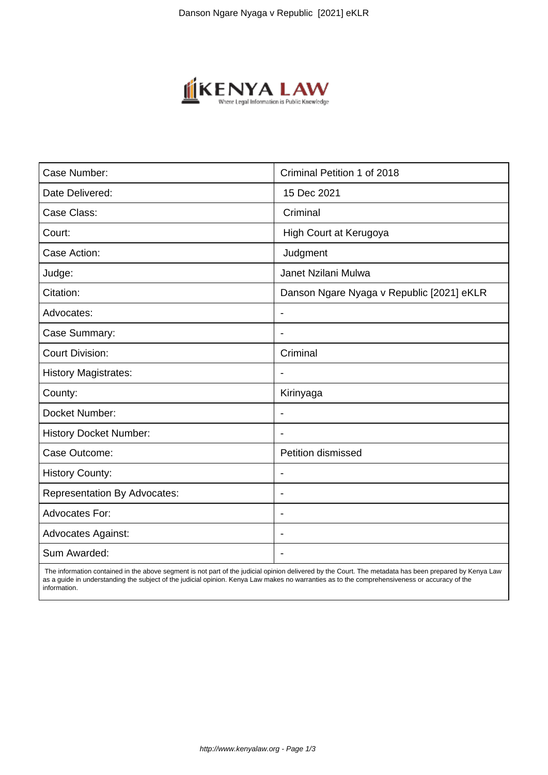

| Case Number:                        | Criminal Petition 1 of 2018               |
|-------------------------------------|-------------------------------------------|
| Date Delivered:                     | 15 Dec 2021                               |
| Case Class:                         | Criminal                                  |
| Court:                              | High Court at Kerugoya                    |
| Case Action:                        | Judgment                                  |
| Judge:                              | Janet Nzilani Mulwa                       |
| Citation:                           | Danson Ngare Nyaga v Republic [2021] eKLR |
| Advocates:                          | $\blacksquare$                            |
| Case Summary:                       |                                           |
| <b>Court Division:</b>              | Criminal                                  |
| <b>History Magistrates:</b>         |                                           |
| County:                             | Kirinyaga                                 |
| Docket Number:                      |                                           |
| <b>History Docket Number:</b>       |                                           |
| Case Outcome:                       | Petition dismissed                        |
| <b>History County:</b>              | $\blacksquare$                            |
| <b>Representation By Advocates:</b> | $\blacksquare$                            |
| <b>Advocates For:</b>               | $\overline{\phantom{a}}$                  |
| <b>Advocates Against:</b>           |                                           |
| Sum Awarded:                        |                                           |

 The information contained in the above segment is not part of the judicial opinion delivered by the Court. The metadata has been prepared by Kenya Law as a guide in understanding the subject of the judicial opinion. Kenya Law makes no warranties as to the comprehensiveness or accuracy of the information.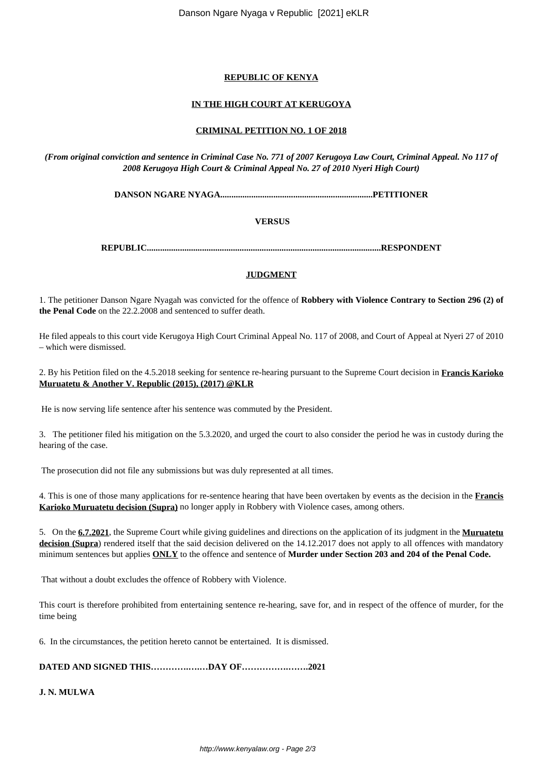Danson Ngare Nyaga v Republic [2021] eKLR

# **REPUBLIC OF KENYA**

# **IN THE HIGH COURT AT KERUGOYA**

## **CRIMINAL PETITION NO. 1 OF 2018**

*(From original conviction and sentence in Criminal Case No. 771 of 2007 Kerugoya Law Court, Criminal Appeal. No 117 of 2008 Kerugoya High Court & Criminal Appeal No. 27 of 2010 Nyeri High Court)*

**DANSON NGARE NYAGA.....................................................................PETITIONER**

**VERSUS**

**REPUBLIC..........................................................................................................RESPONDENT**

#### **JUDGMENT**

1. The petitioner Danson Ngare Nyagah was convicted for the offence of **Robbery with Violence Contrary to Section 296 (2) of the Penal Code** on the 22.2.2008 and sentenced to suffer death.

He filed appeals to this court vide Kerugoya High Court Criminal Appeal No. 117 of 2008, and Court of Appeal at Nyeri 27 of 2010 – which were dismissed.

2. By his Petition filed on the 4.5.2018 seeking for sentence re-hearing pursuant to the Supreme Court decision in **Francis Karioko Muruatetu & Another V. Republic (2015), (2017) @KLR**

He is now serving life sentence after his sentence was commuted by the President.

3. The petitioner filed his mitigation on the 5.3.2020, and urged the court to also consider the period he was in custody during the hearing of the case.

The prosecution did not file any submissions but was duly represented at all times.

4. This is one of those many applications for re-sentence hearing that have been overtaken by events as the decision in the **Francis Karioko Muruatetu decision (Supra)** no longer apply in Robbery with Violence cases, among others.

5. On the **6.7.2021**, the Supreme Court while giving guidelines and directions on the application of its judgment in the **Muruatetu** decision (Supra) rendered itself that the said decision delivered on the 14.12.2017 does not apply to all offences with mandatory minimum sentences but applies **ONLY** to the offence and sentence of **Murder under Section 203 and 204 of the Penal Code.**

That without a doubt excludes the offence of Robbery with Violence.

This court is therefore prohibited from entertaining sentence re-hearing, save for, and in respect of the offence of murder, for the time being

6. In the circumstances, the petition hereto cannot be entertained. It is dismissed.

**DATED AND SIGNED THIS………….….…DAY OF…………….…….2021**

**J. N. MULWA**